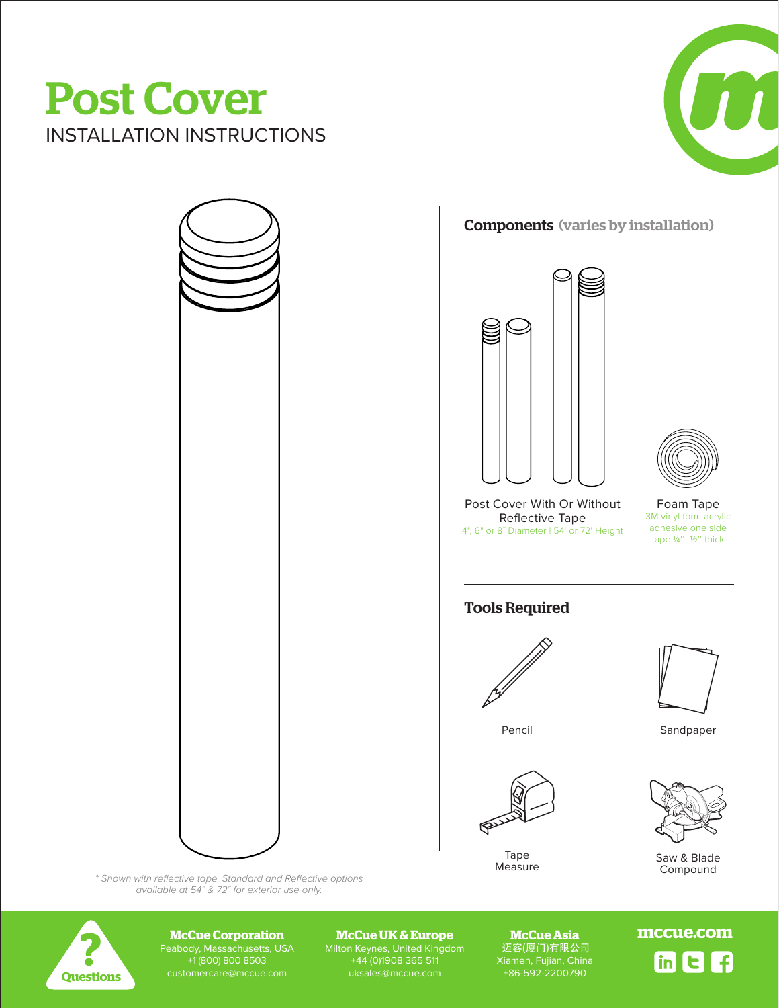## Post Cover INSTALLATION INSTRUCTIONS





Components (varies by installation)



Post Cover With Or Without Reflective Tape 4", 6" or 8˝ Diameter | 54' or 72' Height



Foam Tape 3M vinyl form acrylic adhesive one side tape ¼''- ½'' thick

## Tools Required



Tape **Measure** 



Pencil Sandpaper

DATE REV BY



Saw & Blade Compound

*\* Shown with reflective tape. Standard and Reflective options available at 54˝ & 72˝ for exterior use only.*



Peabody, Massachusetts, USA +1 (800) 800 8503

Milton Keynes, United Kingdom +44 (0)1908 365 511 **McCue Corporation**<br>
Peabody, Massachusetts, USA Milton Keynes, United Kingdom 近客(厦门)有限公司<br>
+1(800) 800 8503 +44 (0)1908 365 511 Xiamen, Fujian, China<br>
customercare@mccue.com uksales@mccue.com +86-592-2200790

**McCue Asia** 迈客(厦门)有限公司

1 o<sub>f cyten,</sub> crime<br>12-2200790 **McCue Corporation mccue.com McCue UK & Europe** DATE REV BY